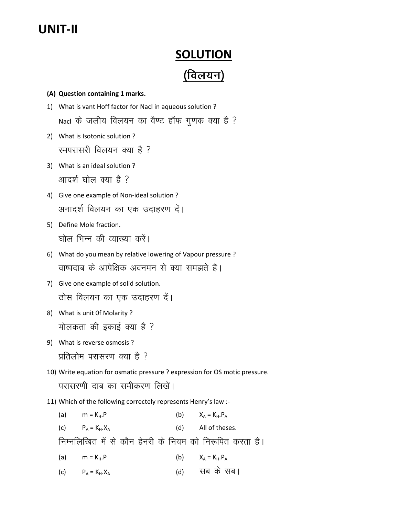# UNIT-II

# **SOLUTION** (विलयन)

# (A) Question containing 1 marks.

- 1) What is vant Hoff factor for Nacl in aqueous solution ? Nacl के जलीय विलयन का वैण्ट हॉफ गूणक क्या है ?
- 2) What is Isotonic solution ? रमपरासरी विलयन क्या है ?
- 3) What is an ideal solution ? आदर्श घोल क्या है ?
- 4) Give one example of Non-ideal solution ? अनादर्श विलयन का एक उदाहरण दें।
- 5) Define Mole fraction. घोल भिन्न की व्याख्या करें।
- 6) What do you mean by relative lowering of Vapour pressure ? वाष्पदाब के आपेक्षिक अवनमन से क्या समझते हैं।
- 7) Give one example of solid solution. ठोस विलयन का एक उदाहरण दें।
- 8) What is unit 0f Molarity ? मोलकता की इकाई क्या है ?
- 9) What is reverse osmosis ? प्रतिलोम परासरण क्या है ?

10) Write equation for osmatic pressure ? expression for OS motic pressure. परासरणी दाब का समीकरण लिखें।

11) Which of the following correctely represents Henry's law :-

(a)  $m = K_H.P$  (b)  $X_A = K_H.P_A$ (c)  $P_A = K_H.X_A$  (d) All of theses. निम्नलिखित में से कौन हेनरी के नियम को निरूपित करता है। (a)  $m = K_H.P$  (b)  $X_A = K_H.P_A$ (c)  $P_A = K_H.X_A$  (d)  $\forall T \in \mathbb{R}$  and  $\forall T \in \mathbb{R}$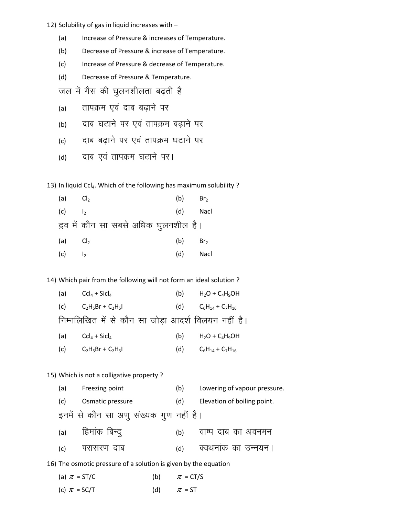12) Solubility of gas in liquid increases with -

- Increase of Pressure & increases of Temperature.  $(a)$
- $(b)$ Decrease of Pressure & increase of Temperature.
- $(c)$ Increase of Pressure & decrease of Temperature.
- $(d)$ Decrease of Pressure & Temperature.

जल में गैस की घुलनशीलता बढ़ती है

- तापक्रम एवं दाब बढाने पर  $(a)$
- दाब घटाने पर एवं तापक्रम बढाने पर  $(b)$
- दाब बढाने पर एवं तापक्रम घटाने पर  $(c)$
- दाब एवं तापक्रम घटाने पर।  $(d)$

13) In liquid Ccl<sub>4</sub>. Which of the following has maximum solubility ?

| (a) $Cl2$ |                                       | (b) | Br <sub>2</sub> |
|-----------|---------------------------------------|-----|-----------------|
| (c)       | $\vert$ ,                             | (d) | Nacl            |
|           | द्रव में कौन सा सबसे अधिक घुलनशील है। |     |                 |
| (a) $Cl2$ |                                       | (b) | Br <sub>2</sub> |
| (c)       | I٥                                    | (d) | Nacl            |

14) Which pair from the following will not form an ideal solution?

| (a) | $Ccl_4 + Sicl_4$                                    | (b) | $H_2O + C_4H_9OH$           |
|-----|-----------------------------------------------------|-----|-----------------------------|
|     | (c) $C_2H_5Br + C_2H_5I$                            |     | (d) $C_6H_{14} + C_7H_{16}$ |
|     | निम्नलिखित में से कौन सा जोड़ा आदर्श विलयन नहीं है। |     |                             |
|     | (a) $Ccl_4 + Sicl_4$                                | (b) | $H_2O + C_4H_9OH$           |

 $C_6H_{14} + C_7H_{16}$  $(c)$  $C_2H_5Br + C_2H_5I$  $(d)$ 

# 15) Which is not a colligative property?

| (a) | Freezing point                          | (b) | Lowering of vapour pressure. |
|-----|-----------------------------------------|-----|------------------------------|
| (C) | Osmatic pressure                        | (d) | Elevation of boiling point.  |
|     | इनमें से कौन सा अणू संख्यक गूण नहीं है। |     |                              |

वाष्प दाब का अवनमन

हिमांक बिन्दू  $(a)$  $(b)$ क्वथनांक का उन्नयन। परासरण दाब  $(c)$  $(d)$ 

16) The osmotic pressure of a solution is given by the equation

(a) 
$$
\pi = ST/C
$$
  
\n(b)  $\pi = CT/S$   
\n(c)  $\pi = SC/T$   
\n(d)  $\pi = ST$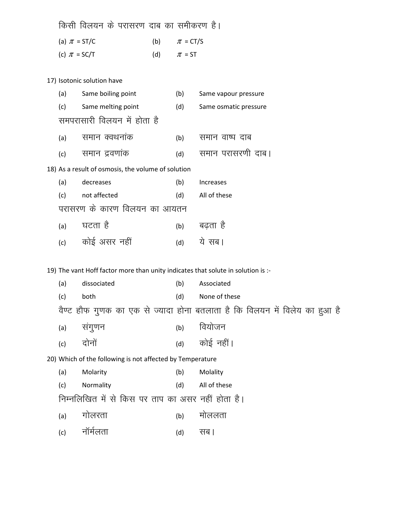|                  | किसी विलयन के परासरण दाब का समीकरण है।             |                  |                       |
|------------------|----------------------------------------------------|------------------|-----------------------|
| (a) $\pi$ = ST/C |                                                    | (b) $\pi = CT/S$ |                       |
| (c) $\pi$ = SC/T |                                                    | (d) $\pi = ST$   |                       |
|                  |                                                    |                  |                       |
|                  | 17) Isotonic solution have                         |                  |                       |
| (a)              | Same boiling point                                 | (b)              | Same vapour pressure  |
| (c)              | Same melting point                                 | (d)              | Same osmatic pressure |
|                  | समपरासारी विलयन में होता है                        |                  |                       |
| (a)              | समान क्वथनांक                                      | (b)              | समान वाष्प दाब        |
| (c)              | समान द्रवणांक                                      | (d)              | समान परासरणी दाब।     |
|                  | 18) As a result of osmosis, the volume of solution |                  |                       |
| (a)              | decreases                                          | (b)              | <b>Increases</b>      |
|                  |                                                    |                  |                       |

| (c) | not affected                 | All of these<br>(d) |
|-----|------------------------------|---------------------|
|     | परासरण के कारण विलयन का आयतन |                     |
|     | <sub>(a)</sub> घटता है       | बढता है<br>(b)      |

(c) कोई असर नहीं (d) ये सब।

19) The vant Hoff factor more than unity indicates that solute in solution is :-

|                                                           | (a) | dissociated                                       | (b) | Associated                                                                 |
|-----------------------------------------------------------|-----|---------------------------------------------------|-----|----------------------------------------------------------------------------|
|                                                           | (c) | both                                              | (d) | None of these                                                              |
|                                                           |     |                                                   |     | वैण्ट हौफ गुणक का एक से ज्यादा होना बतलाता है कि विलयन में विलेय का हुआ है |
|                                                           | (a) | सगुणन                                             | (b) | वियोजन                                                                     |
|                                                           | (c) | दोनों                                             | (d) | कोई नहीं।                                                                  |
| 20) Which of the following is not affected by Temperature |     |                                                   |     |                                                                            |
|                                                           | (a) | Molarity                                          | (b) | Molality                                                                   |
|                                                           | (c) | Normality                                         | (d) | All of these                                                               |
|                                                           |     | निम्नलिखित में से किस पर ताप का असर नहीं होता है। |     |                                                                            |
|                                                           | (a) | लिरता                                             | (b) | माललता                                                                     |
|                                                           |     |                                                   |     |                                                                            |

(c) नॉर्मलता (d) सब ।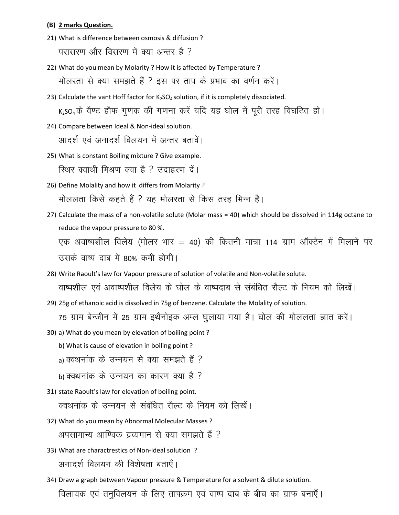### (B) 2 marks Question.

- 21) What is difference between osmosis & diffusion ? परासरण और विसरण में क्या अन्तर है ?
- 22) What do you mean by Molarity ? How it is affected by Temperature ? <u>मोलरता से क्या समझते हैं ? इस पर ताप के प्रभाव का वर्णन करें।</u>
- 23) Calculate the vant Hoff factor for  $K_2SO_4$  solution, if it is completely dissociated.  $K_2$ SO<sub>4</sub> के वैण्ट हौफ गूणक की गणना करें यदि यह घोल में पूरी तरह विघटित हो।
- 24) Compare between Ideal & Non-ideal solution. आदर्श एवं अनादर्श विलयन में अन्तर बतावें।
- 25) What is constant Boiling mixture ? Give example. स्थिर क्वाथी मिश्रण क्या है ? उदाहरण दें।
- 26) Define Molality and how it differs from Molarity ? मोललता किसे कहते हैं ? यह मोलरता से किस तरह भिन्न है।
- 27) Calculate the mass of a non-volatile solute (Molar mass = 40) which should be dissolved in 114g octane to reduce the vapour pressure to 80 %.

एक अवाष्पशील विलेय (मोलर भार = 40) की कितनी मात्रा 114 ग्राम ऑक्टेन में मिलाने पर उसके वाष्प दाब में 80% कमी होगी।

- 28) Write Raoult's law for Vapour pressure of solution of volatile and Non-volatile solute. वाष्पशील एवं अवाष्पशील विलेय के घोल के वाष्पदाब से संबंधित रौल्ट के नियम को लिखें।
- 29) 25g of ethanoic acid is dissolved in 75g of benzene. Calculate the Molality of solution.

75 ग्राम बेन्जीन में 25 ग्राम इथैनोइक अम्ल घुलाया गया है। घोल की मोललता ज्ञात करें।

- 30) a) What do you mean by elevation of boiling point ?
	- b) What is cause of elevation in boiling point ?
	- a) क्वथनांक के उन्नयन से क्या समझते हैं ?
	- b) क्वथनांक के उन्नयन का कारण क्या है ?
- 31) state Raoult's law for elevation of boiling point. क्वथनांक के उन्नयन से संबंधित रौल्ट के नियम को लिखें।
- 32) What do you mean by Abnormal Molecular Masses ? अपसामान्य आण्विक द्रव्यमान से क्या समझते हैं ?
- 33) What are charactrestics of Non-ideal solution ? अनादर्श विलयन की विशेषता बताएँ।
- 34) Draw a graph between Vapour pressure & Temperature for a solvent & dilute solution. विलायक एवं तनुविलयन के लिए तापक्रम एवं वाष्प दाब के बीच का ग्राफ बनाएँ।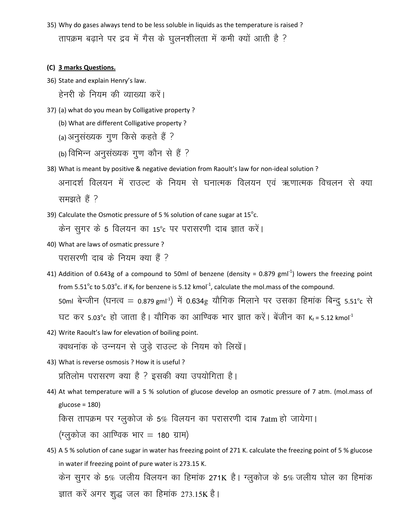35) Why do gases always tend to be less soluble in liquids as the temperature is raised ? तापक्रम बढ़ाने पर द्रव में गैस के घुलनशीलता में कमी क्यों आती है ?

#### (C) 3 marks Questions.

36) State and explain Henry's law.

हेनरी के नियम की व्याख्या करें।

- 37) (a) what do you mean by Colligative property ?
	- (b) What are different Colligative property ?
	- (a) अनुसंख्यक गूण किसे कहते हैं ?
	- (b) विभिन्न अनुसंख्यक गुण कौन से हैं ?
- 38) What is meant by positive & negative deviation from Raoult's law for non-ideal solution ? अनादर्श विलयन में राउल्ट के नियम से घनात्मक विलयन एवं ऋणात्मक विचलन से क्या समझते हैं ?
- 39) Calculate the Osmotic pressure of 5 % solution of cane sugar at  $15^{\circ}$ c.

केन सुगर के 5 विलयन का 15°c पर परासरणी दाब ज्ञात करें।

40) What are laws of osmatic pressure ?

परासरणी दाब के नियम क्या हैं ?

- 41) Addition of 0.643g of a compound to 50ml of benzene (density = 0.879 gml<sup>-1</sup>) lowers the freezing point from 5.51<sup>o</sup>c to 5.03<sup>o</sup>c. if K<sub>f</sub> for benzene is 5.12 kmol<sup>-1</sup>, calculate the mol.mass of the compound. 50ml बेन्जीन (घनत्व = 0.879  $\rm gmI^{-1}$ ) में 0.634 $\rm g$  यौगिक मिलाने पर उसका हिमांक बिन्दु 5.51 $^{\circ}$ c से घट कर 5.03°c हो जाता है। यौगिक का आण्विक भार ज्ञात करें। बेंजीन का  $\kappa_{\rm f}$ =5.12 kmol<sup>-1</sup>
- 42) Write Raoult's law for elevation of boiling point. क्वथनांक के उन्नयन से जुड़े राउल्ट के नियम को लिखें।
- 43) What is reverse osmosis ? How it is useful ? प्रतिलोम परासरण क्या है ? इसकी क्या उपयोगिता है।
- 44) At what temperature will a 5 % solution of glucose develop an osmotic pressure of 7 atm. (mol.mass of  $glucose = 180$

किस तापक्रम पर ग्लूकोज के 5% विलयन का परासरणी दाब 7atm हो जायेगा।

 $($ ग्लुकोज का आण्विक भार = 180 ग्राम)

45) A 5 % solution of cane sugar in water has freezing point of 271 K. calculate the freezing point of 5 % glucose in water if freezing point of pure water is 273.15 K. केन सुगर के 5% जलीय विलयन का हिमांक 271K है। ग्लुकोज के 5% जलीय घोल का हिमांक ज्ञात करें अगर शुद्ध जल का हिमांक 273.15K है।